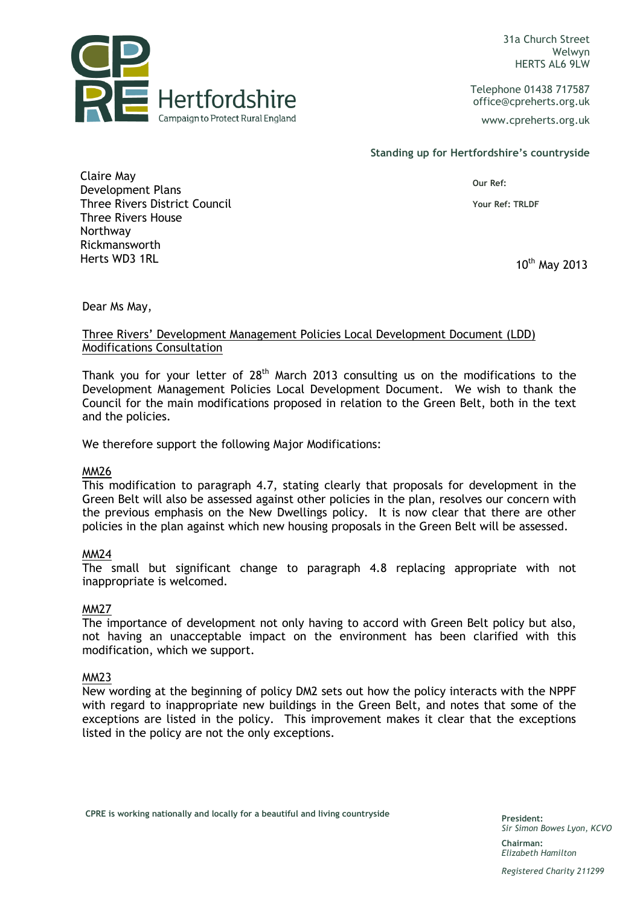10/05/2014 10:31a Church Street Welwyn HERTS AL6 9LW

> Telephone 01438 717587 office@cpreherts.org.uk

www.cpreherts.org.uk

Standing up for Hertfordshire's countryside

Our Ref:

Your Ref: TRLDF

Claire May Development Plans Three Rivers District Council Three Rivers House Northway Rickmansworth Herts WD3 1RL 2013

 $\blacksquare$  Hertfordshire

Campaign to Protect Rural England

Dear Ms May,

# Three Rivers' Development Management Policies Local Development Document (LDD) Modifications Consultation

Thank you for your letter of  $28<sup>th</sup>$  March 2013 consulting us on the modifications to the Development Management Policies Local Development Document. We wish to thank the Council for the main modifications proposed in relation to the Green Belt, both in the text and the policies.

We therefore support the following Major Modifications:

# MM26

This modification to paragraph 4.7, stating clearly that proposals for development in the Green Belt will also be assessed against other policies in the plan, resolves our concern with the previous emphasis on the New Dwellings policy. It is now clear that there are other policies in the plan against which new housing proposals in the Green Belt will be assessed.

# MM24

The small but significant change to paragraph 4.8 replacing appropriate with not inappropriate is welcomed.

# MM27

The importance of development not only having to accord with Green Belt policy but also, not having an unacceptable impact on the environment has been clarified with this modification, which we support.

# MM23

New wording at the beginning of policy DM2 sets out how the policy interacts with the NPPF with regard to inappropriate new buildings in the Green Belt, and notes that some of the exceptions are listed in the policy. This improvement makes it clear that the exceptions listed in the policy are not the only exceptions.